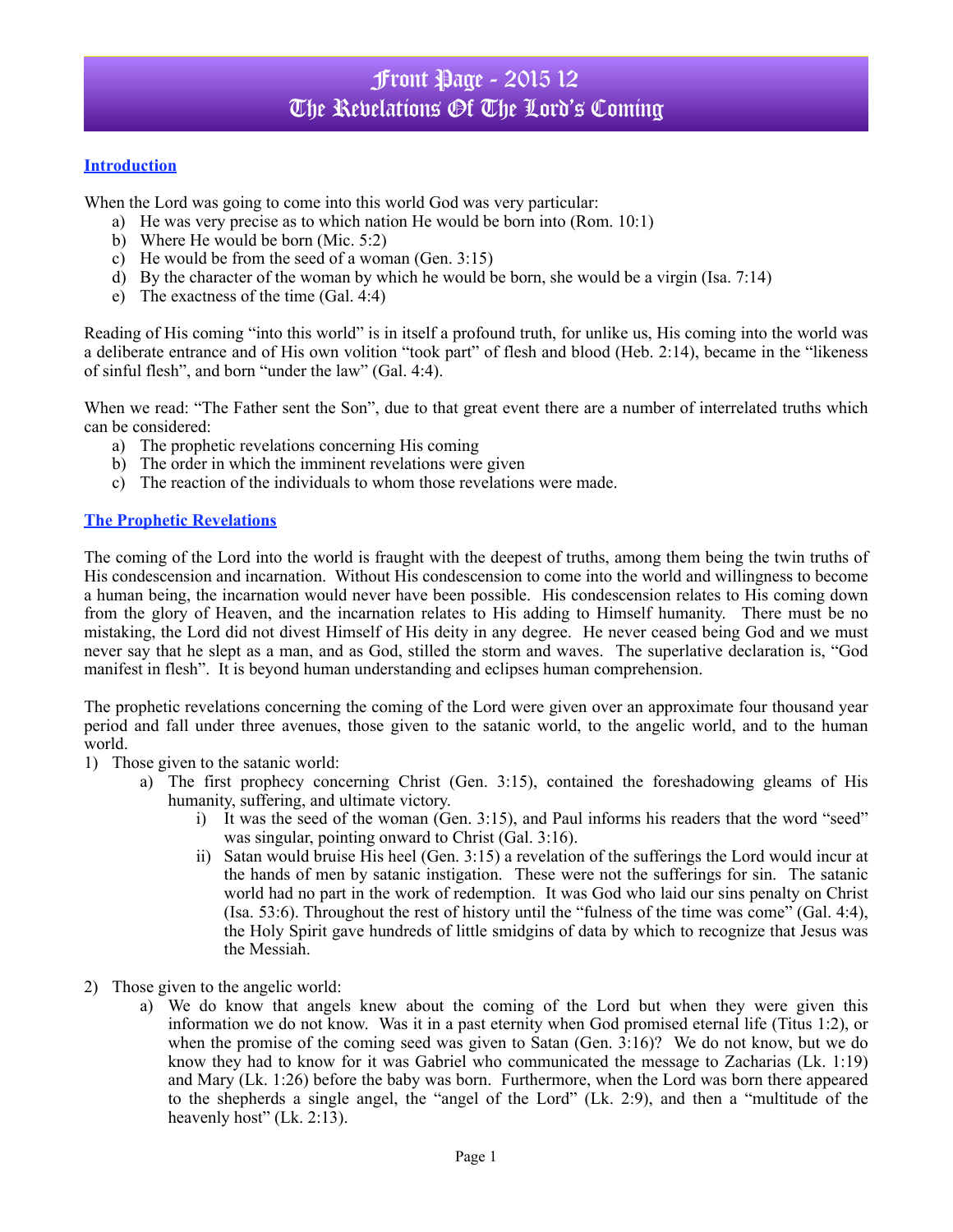# Front Page - 2015 12 The Revelations Of The Lord's Coming

### **Introduction**

When the Lord was going to come into this world God was very particular:

- a) He was very precise as to which nation He would be born into (Rom. 10:1)
- b) Where He would be born (Mic. 5:2)
- c) He would be from the seed of a woman (Gen. 3:15)
- d) By the character of the woman by which he would be born, she would be a virgin (Isa. 7:14)
- e) The exactness of the time (Gal. 4:4)

Reading of His coming "into this world" is in itself a profound truth, for unlike us, His coming into the world was a deliberate entrance and of His own volition "took part" of flesh and blood (Heb. 2:14), became in the "likeness of sinful flesh", and born "under the law" (Gal. 4:4).

When we read: "The Father sent the Son", due to that great event there are a number of interrelated truths which can be considered:

- a) The prophetic revelations concerning His coming
- b) The order in which the imminent revelations were given
- c) The reaction of the individuals to whom those revelations were made.

#### **The Prophetic Revelations**

The coming of the Lord into the world is fraught with the deepest of truths, among them being the twin truths of His condescension and incarnation. Without His condescension to come into the world and willingness to become a human being, the incarnation would never have been possible. His condescension relates to His coming down from the glory of Heaven, and the incarnation relates to His adding to Himself humanity. There must be no mistaking, the Lord did not divest Himself of His deity in any degree. He never ceased being God and we must never say that he slept as a man, and as God, stilled the storm and waves. The superlative declaration is, "God manifest in flesh". It is beyond human understanding and eclipses human comprehension.

The prophetic revelations concerning the coming of the Lord were given over an approximate four thousand year period and fall under three avenues, those given to the satanic world, to the angelic world, and to the human world.

- 1) Those given to the satanic world:
	- a) The first prophecy concerning Christ (Gen. 3:15), contained the foreshadowing gleams of His humanity, suffering, and ultimate victory.
		- i) It was the seed of the woman (Gen. 3:15), and Paul informs his readers that the word "seed" was singular, pointing onward to Christ (Gal. 3:16).
		- ii) Satan would bruise His heel (Gen. 3:15) a revelation of the sufferings the Lord would incur at the hands of men by satanic instigation. These were not the sufferings for sin. The satanic world had no part in the work of redemption. It was God who laid our sins penalty on Christ (Isa. 53:6). Throughout the rest of history until the "fulness of the time was come" (Gal. 4:4), the Holy Spirit gave hundreds of little smidgins of data by which to recognize that Jesus was the Messiah.
- 2) Those given to the angelic world:
	- a) We do know that angels knew about the coming of the Lord but when they were given this information we do not know. Was it in a past eternity when God promised eternal life (Titus 1:2), or when the promise of the coming seed was given to Satan (Gen. 3:16)? We do not know, but we do know they had to know for it was Gabriel who communicated the message to Zacharias (Lk. 1:19) and Mary (Lk. 1:26) before the baby was born. Furthermore, when the Lord was born there appeared to the shepherds a single angel, the "angel of the Lord" (Lk. 2:9), and then a "multitude of the heavenly host" (Lk. 2:13).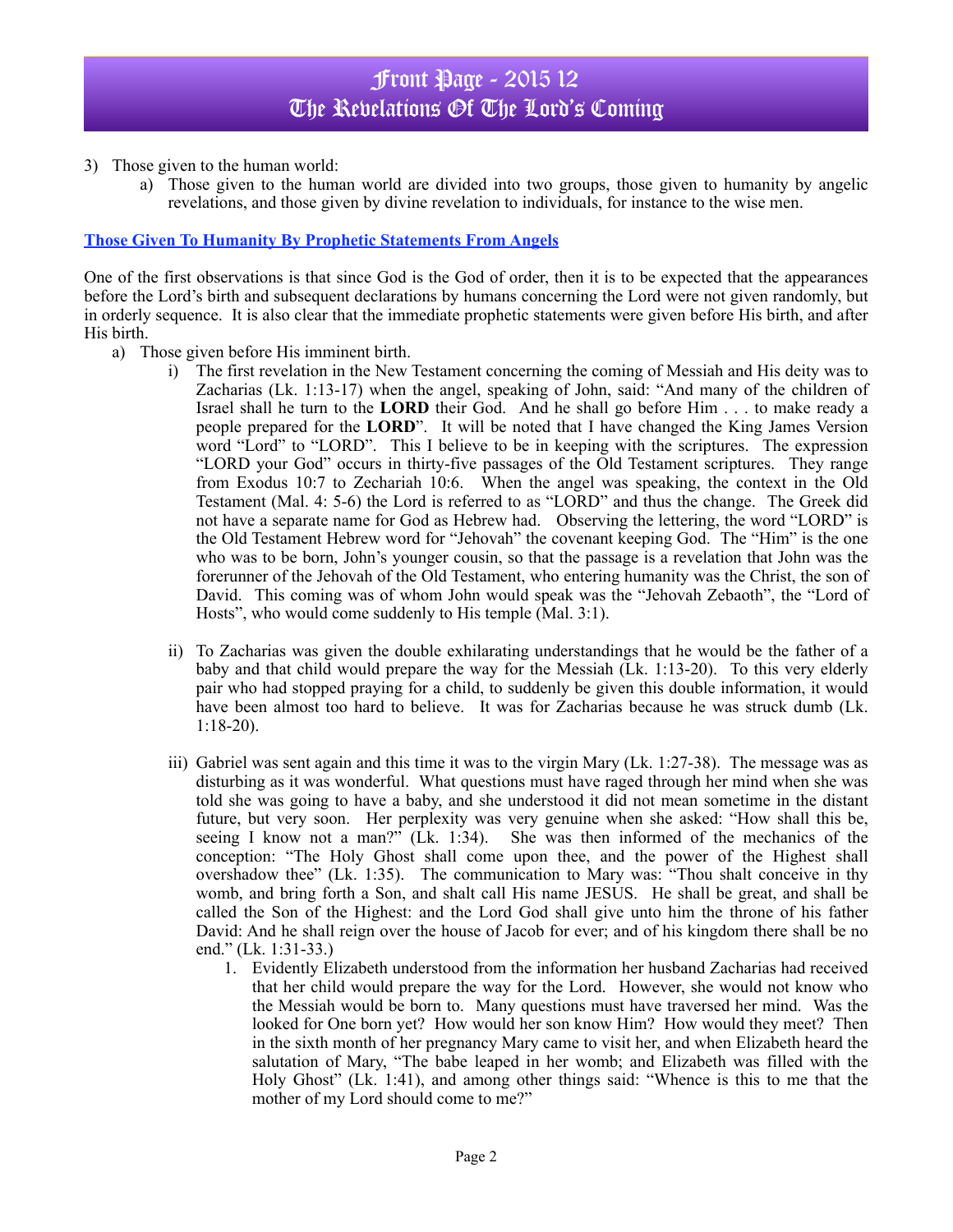# Front Page - 2015 12 The Revelations Of The Lord's Coming

- 3) Those given to the human world:
	- a) Those given to the human world are divided into two groups, those given to humanity by angelic revelations, and those given by divine revelation to individuals, for instance to the wise men.

### **Those Given To Humanity By Prophetic Statements From Angels**

One of the first observations is that since God is the God of order, then it is to be expected that the appearances before the Lord's birth and subsequent declarations by humans concerning the Lord were not given randomly, but in orderly sequence. It is also clear that the immediate prophetic statements were given before His birth, and after His birth.

- a) Those given before His imminent birth.
	- i) The first revelation in the New Testament concerning the coming of Messiah and His deity was to Zacharias (Lk. 1:13-17) when the angel, speaking of John, said: "And many of the children of Israel shall he turn to the **LORD** their God. And he shall go before Him . . . to make ready a people prepared for the **LORD**". It will be noted that I have changed the King James Version word "Lord" to "LORD". This I believe to be in keeping with the scriptures. The expression "LORD your God" occurs in thirty-five passages of the Old Testament scriptures. They range from Exodus 10:7 to Zechariah 10:6. When the angel was speaking, the context in the Old Testament (Mal. 4: 5-6) the Lord is referred to as "LORD" and thus the change. The Greek did not have a separate name for God as Hebrew had. Observing the lettering, the word "LORD" is the Old Testament Hebrew word for "Jehovah" the covenant keeping God. The "Him" is the one who was to be born, John's younger cousin, so that the passage is a revelation that John was the forerunner of the Jehovah of the Old Testament, who entering humanity was the Christ, the son of David. This coming was of whom John would speak was the "Jehovah Zebaoth", the "Lord of Hosts", who would come suddenly to His temple (Mal. 3:1).
	- ii) To Zacharias was given the double exhilarating understandings that he would be the father of a baby and that child would prepare the way for the Messiah (Lk. 1:13-20). To this very elderly pair who had stopped praying for a child, to suddenly be given this double information, it would have been almost too hard to believe. It was for Zacharias because he was struck dumb (Lk. 1:18-20).
	- iii) Gabriel was sent again and this time it was to the virgin Mary (Lk. 1:27-38). The message was as disturbing as it was wonderful. What questions must have raged through her mind when she was told she was going to have a baby, and she understood it did not mean sometime in the distant future, but very soon. Her perplexity was very genuine when she asked: "How shall this be, seeing I know not a man?" (Lk. 1:34). She was then informed of the mechanics of the conception: "The Holy Ghost shall come upon thee, and the power of the Highest shall overshadow thee" (Lk. 1:35). The communication to Mary was: "Thou shalt conceive in thy womb, and bring forth a Son, and shalt call His name JESUS. He shall be great, and shall be called the Son of the Highest: and the Lord God shall give unto him the throne of his father David: And he shall reign over the house of Jacob for ever; and of his kingdom there shall be no end." (Lk. 1:31-33.)
		- 1. Evidently Elizabeth understood from the information her husband Zacharias had received that her child would prepare the way for the Lord. However, she would not know who the Messiah would be born to. Many questions must have traversed her mind. Was the looked for One born yet? How would her son know Him? How would they meet? Then in the sixth month of her pregnancy Mary came to visit her, and when Elizabeth heard the salutation of Mary, "The babe leaped in her womb; and Elizabeth was filled with the Holy Ghost" (Lk. 1:41), and among other things said: "Whence is this to me that the mother of my Lord should come to me?"